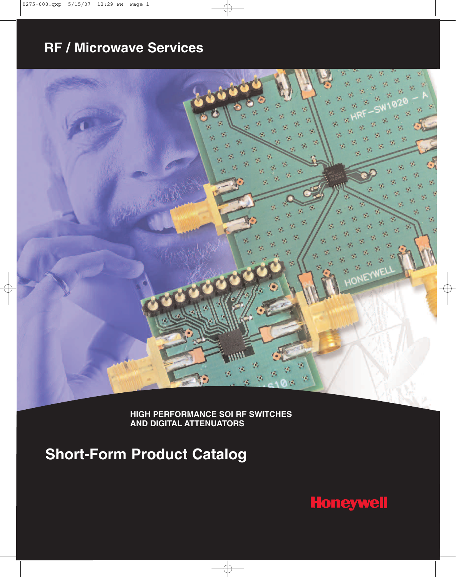# **RF / Microwave Services**



**HIGH PERFORMANCE SOI RF SWITCHES AND DIGITAL ATTENUATORS**

**Short-Form Product Catalog**